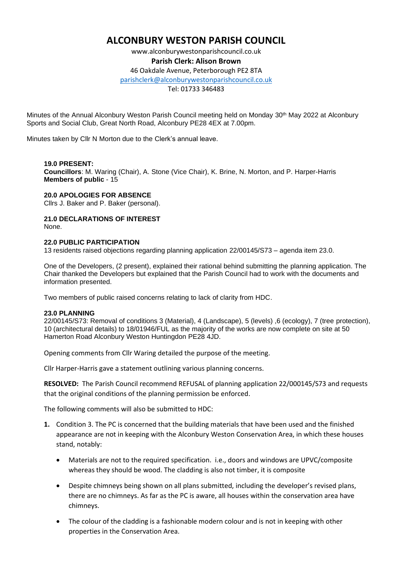# **ALCONBURY WESTON PARISH COUNCIL**

www.alconburywestonparishcouncil.co.uk **Parish Clerk: Alison Brown**

46 Oakdale Avenue, Peterborough PE2 8TA

[parishclerk@alconburywestonparishcouncil.co.uk](mailto:parishclerk@alconburyparishcouncil.co.uk)

Tel: 01733 346483

Minutes of the Annual Alconbury Weston Parish Council meeting held on Monday 30th May 2022 at Alconbury Sports and Social Club, Great North Road, Alconbury PE28 4EX at 7.00pm.

Minutes taken by Cllr N Morton due to the Clerk's annual leave.

### **19.0 PRESENT:**

**Councillors**: M. Waring (Chair), A. Stone (Vice Chair), K. Brine, N. Morton, and P. Harper-Harris **Members of public** - 15

#### **20.0 APOLOGIES FOR ABSENCE**

Cllrs J. Baker and P. Baker (personal).

# **21.0 DECLARATIONS OF INTEREST**

None.

### **22.0 PUBLIC PARTICIPATION**

13 residents raised objections regarding planning application 22/00145/S73 – agenda item 23.0.

One of the Developers, (2 present), explained their rational behind submitting the planning application. The Chair thanked the Developers but explained that the Parish Council had to work with the documents and information presented.

Two members of public raised concerns relating to lack of clarity from HDC.

## **23.0 PLANNING**

22/00145/S73: Removal of conditions 3 (Material), 4 (Landscape), 5 (levels) ,6 (ecology), 7 (tree protection), 10 (architectural details) to 18/01946/FUL as the majority of the works are now complete on site at 50 Hamerton Road Alconbury Weston Huntingdon PE28 4JD.

Opening comments from Cllr Waring detailed the purpose of the meeting.

Cllr Harper-Harris gave a statement outlining various planning concerns.

**RESOLVED:** The Parish Council recommend REFUSAL of planning application 22/000145/S73 and requests that the original conditions of the planning permission be enforced.

The following comments will also be submitted to HDC:

- **1.** Condition 3. The PC is concerned that the building materials that have been used and the finished appearance are not in keeping with the Alconbury Weston Conservation Area, in which these houses stand, notably:
	- Materials are not to the required specification. i.e., doors and windows are UPVC/composite whereas they should be wood. The cladding is also not timber, it is composite
	- Despite chimneys being shown on all plans submitted, including the developer's revised plans, there are no chimneys. As far as the PC is aware, all houses within the conservation area have chimneys.
	- The colour of the cladding is a fashionable modern colour and is not in keeping with other properties in the Conservation Area.